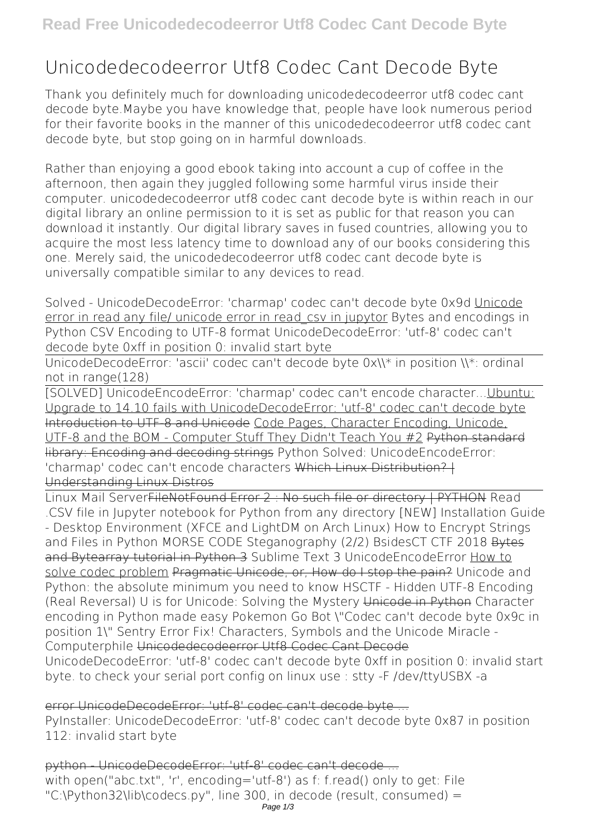# **Unicodedecodeerror Utf8 Codec Cant Decode Byte**

Thank you definitely much for downloading **unicodedecodeerror utf8 codec cant decode byte**.Maybe you have knowledge that, people have look numerous period for their favorite books in the manner of this unicodedecodeerror utf8 codec cant decode byte, but stop going on in harmful downloads.

Rather than enjoying a good ebook taking into account a cup of coffee in the afternoon, then again they juggled following some harmful virus inside their computer. **unicodedecodeerror utf8 codec cant decode byte** is within reach in our digital library an online permission to it is set as public for that reason you can download it instantly. Our digital library saves in fused countries, allowing you to acquire the most less latency time to download any of our books considering this one. Merely said, the unicodedecodeerror utf8 codec cant decode byte is universally compatible similar to any devices to read.

*Solved - UnicodeDecodeError: 'charmap' codec can't decode byte 0x9d* Unicode error in read any file/ unicode error in read\_csv in jupytor Bytes and encodings in Python CSV Encoding to UTF-8 format UnicodeDecodeError: 'utf-8' codec can't decode byte 0xff in position 0: invalid start byte

UnicodeDecodeError: 'ascii' codec can't decode byte 0x\\\* in position \\\*: ordinal not in range(128)

[SOLVED] UnicodeEncodeError: 'charmap' codec can't encode character...Ubuntu: Upgrade to 14.10 fails with UnicodeDecodeError: 'utf-8' codec can't decode byte Introduction to UTF-8 and Unicode Code Pages, Character Encoding, Unicode, UTF-8 and the BOM - Computer Stuff They Didn't Teach You #2 Python standard library: Encoding and decoding strings **Python Solved: UnicodeEncodeError: 'charmap' codec can't encode characters** Which Linux Distribution? | Understanding Linux Distros

Linux Mail ServerFileNotFound Error 2 : No such file or directory | PYTHON *Read .CSV file in Jupyter notebook for Python from any directory [NEW] Installation Guide - Desktop Environment (XFCE and LightDM on Arch Linux) How to Encrypt Strings and Files in Python* **MORSE CODE Steganography (2/2) BsidesCT CTF 2018** Bytes and Bytearray tutorial in Python 3 *Sublime Text 3 UnicodeEncodeError* How to solve codec problem Pragmatic Unicode, or, How do I stop the pain? Unicode and Python: the absolute minimum you need to know HSCTF - Hidden UTF-8 Encoding (Real Reversal) U is for Unicode: Solving the Mystery Unicode in Python **Character encoding in Python made easy** *Pokemon Go Bot \"Codec can't decode byte 0x9c in position 1\" Sentry Error Fix!* **Characters, Symbols and the Unicode Miracle - Computerphile** Unicodedecodeerror Utf8 Codec Cant Decode UnicodeDecodeError: 'utf-8' codec can't decode byte 0xff in position 0: invalid start byte. to check your serial port config on linux use : stty -F /dev/ttyUSBX -a

error UnicodeDecodeError: 'utf-8' codec can't decode byte ...

PyInstaller: UnicodeDecodeError: 'utf-8' codec can't decode byte 0x87 in position 112: invalid start byte

python - UnicodeDecodeError: 'utf-8' codec can't decode ... with open("abc.txt", 'r', encoding='utf-8') as f: f.read() only to get: File "C:\Python32\lib\codecs.py", line 300, in decode (result, consumed) =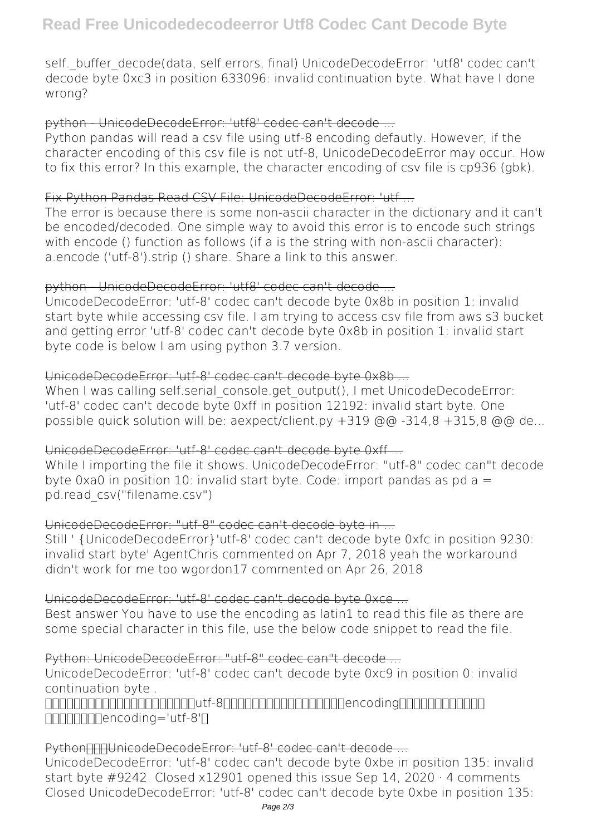self. buffer\_decode(data, self.errors, final) UnicodeDecodeError: 'utf8' codec can't decode byte 0xc3 in position 633096: invalid continuation byte. What have I done wrong?

#### python - UnicodeDecodeError: 'utf8' codec can't decode ...

Python pandas will read a csv file using utf-8 encoding defautly. However, if the character encoding of this csv file is not utf-8, UnicodeDecodeError may occur. How to fix this error? In this example, the character encoding of csv file is cp936 (gbk).

#### Fix Python Pandas Read CSV File: UnicodeDecodeError: 'utf ...

The error is because there is some non-ascii character in the dictionary and it can't be encoded/decoded. One simple way to avoid this error is to encode such strings with encode () function as follows (if a is the string with non-ascii character): a.encode ('utf-8').strip () share. Share a link to this answer.

# python - UnicodeDecodeError: 'utf8' codec can't decode -

UnicodeDecodeError: 'utf-8' codec can't decode byte 0x8b in position 1: invalid start byte while accessing csv file. I am trying to access csv file from aws s3 bucket and getting error 'utf-8' codec can't decode byte 0x8b in position 1: invalid start byte code is below I am using python 3.7 version.

# UnicodeDecodeError: 'utf-8' codec can't decode byte 0x8b ...

When I was calling self.serial console.get output(), I met UnicodeDecodeError: 'utf-8' codec can't decode byte 0xff in position 12192: invalid start byte. One possible quick solution will be: aexpect/client.py  $+319$  @@ $-314.8 +315.8$  @@ de...

# UnicodeDecodeError: 'utf-8' codec can't decode byte 0xff ...

While I importing the file it shows. UnicodeDecodeError: "utf-8" codec can"t decode byte  $0 \times a0$  in position 10: invalid start byte. Code: import pandas as pd  $a =$ pd.read\_csv("filename.csv")

# UnicodeDecodeError: "utf-8" codec can't decode byte in ...

Still ' {UnicodeDecodeError}'utf-8' codec can't decode byte 0xfc in position 9230: invalid start byte' AgentChris commented on Apr 7, 2018 yeah the workaround didn't work for me too wgordon17 commented on Apr 26, 2018

# UnicodeDecodeError: 'utf-8' codec can't decode byte 0xce ...

Best answer You have to use the encoding as latin1 to read this file as there are some special character in this file, use the below code snippet to read the file.

# Python: UnicodeDecodeError: "utf-8" codec can"t decode ...

UnicodeDecodeError: 'utf-8' codec can't decode byte 0xc9 in position 0: invalid continuation byte .

nannannannannannannautf-8nnannannannannanneacoding  $\Box \Box \Box \Box \Box \Box \Box$ encoding='utf-8' $\Box$ 

# Python: The DecodeError: 'utf-8' codec can't decode ...

UnicodeDecodeError: 'utf-8' codec can't decode byte 0xbe in position 135: invalid start byte #9242. Closed x12901 opened this issue Sep 14, 2020 · 4 comments Closed UnicodeDecodeError: 'utf-8' codec can't decode byte 0xbe in position 135: